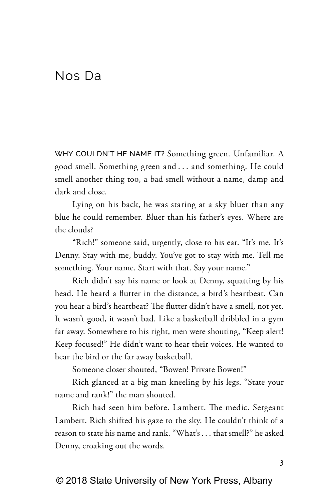## Nos Da

WHY COULDN'T HE NAME IT? Something green. Unfamiliar. A good smell. Something green and . . . and something. He could smell another thing too, a bad smell without a name, damp and dark and close.

Lying on his back, he was staring at a sky bluer than any blue he could remember. Bluer than his father's eyes. Where are the clouds?

"Rich!" someone said, urgently, close to his ear. "It's me. It's Denny. Stay with me, buddy. You've got to stay with me. Tell me something. Your name. Start with that. Say your name."

Rich didn't say his name or look at Denny, squatting by his head. He heard a flutter in the distance, a bird's heartbeat. Can you hear a bird's heartbeat? The flutter didn't have a smell, not yet. It wasn't good, it wasn't bad. Like a basketball dribbled in a gym far away. Somewhere to his right, men were shouting, "Keep alert! Keep focused!" He didn't want to hear their voices. He wanted to hear the bird or the far away basketball.

Someone closer shouted, "Bowen! Private Bowen!"

Rich glanced at a big man kneeling by his legs. "State your name and rank!" the man shouted.

Rich had seen him before. Lambert. The medic. Sergeant Lambert. Rich shifted his gaze to the sky. He couldn't think of a reason to state his name and rank. "What's . . . that smell?" he asked Denny, croaking out the words.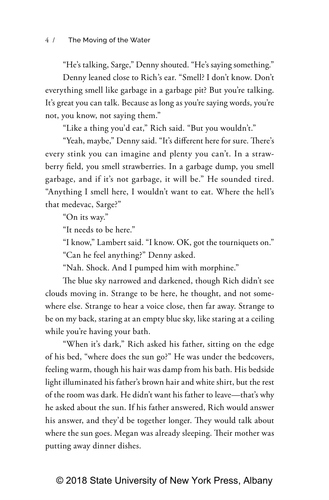"He's talking, Sarge," Denny shouted. "He's saying something."

Denny leaned close to Rich's ear. "Smell? I don't know. Don't everything smell like garbage in a garbage pit? But you're talking. It's great you can talk. Because as long as you're saying words, you're not, you know, not saying them."

"Like a thing you'd eat," Rich said. "But you wouldn't."

"Yeah, maybe," Denny said. "It's different here for sure. There's every stink you can imagine and plenty you can't. In a strawberry field, you smell strawberries. In a garbage dump, you smell garbage, and if it's not garbage, it will be." He sounded tired. "Anything I smell here, I wouldn't want to eat. Where the hell's that medevac, Sarge?"

"On its way."

"It needs to be here."

"I know," Lambert said. "I know. OK, got the tourniquets on." "Can he feel anything?" Denny asked.

"Nah. Shock. And I pumped him with morphine."

The blue sky narrowed and darkened, though Rich didn't see clouds moving in. Strange to be here, he thought, and not somewhere else. Strange to hear a voice close, then far away. Strange to be on my back, staring at an empty blue sky, like staring at a ceiling while you're having your bath.

"When it's dark," Rich asked his father, sitting on the edge of his bed, "where does the sun go?" He was under the bedcovers, feeling warm, though his hair was damp from his bath. His bedside light illuminated his father's brown hair and white shirt, but the rest of the room was dark. He didn't want his father to leave—that's why he asked about the sun. If his father answered, Rich would answer his answer, and they'd be together longer. They would talk about where the sun goes. Megan was already sleeping. Their mother was putting away dinner dishes.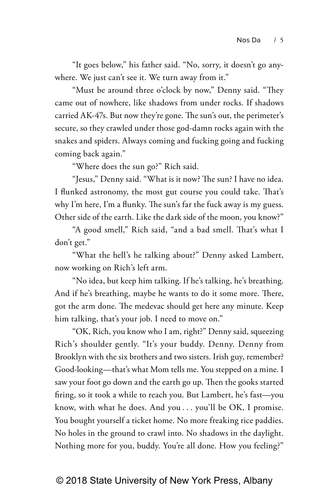"It goes below," his father said. "No, sorry, it doesn't go anywhere. We just can't see it. We turn away from it."

"Must be around three o'clock by now," Denny said. "They came out of nowhere, like shadows from under rocks. If shadows carried AK-47s. But now they're gone. The sun's out, the perimeter's secure, so they crawled under those god-damn rocks again with the snakes and spiders. Always coming and fucking going and fucking coming back again."

"Where does the sun go?" Rich said.

"Jesus," Denny said. "What is it now? The sun? I have no idea. I flunked astronomy, the most gut course you could take. That's why I'm here, I'm a flunky. The sun's far the fuck away is my guess. Other side of the earth. Like the dark side of the moon, you know?"

"A good smell," Rich said, "and a bad smell. That's what I don't get."

"What the hell's he talking about?" Denny asked Lambert, now working on Rich's left arm.

"No idea, but keep him talking. If he's talking, he's breathing. And if he's breathing, maybe he wants to do it some more. There, got the arm done. The medevac should get here any minute. Keep him talking, that's your job. I need to move on."

"OK, Rich, you know who I am, right?" Denny said, squeezing Rich's shoulder gently. "It's your buddy. Denny. Denny from Brooklyn with the six brothers and two sisters. Irish guy, remember? Good-looking—that's what Mom tells me. You stepped on a mine. I saw your foot go down and the earth go up. Then the gooks started firing, so it took a while to reach you. But Lambert, he's fast—you know, with what he does. And you . . . you'll be OK, I promise. You bought yourself a ticket home. No more freaking rice paddies. No holes in the ground to crawl into. No shadows in the daylight. Nothing more for you, buddy. You're all done. How you feeling?"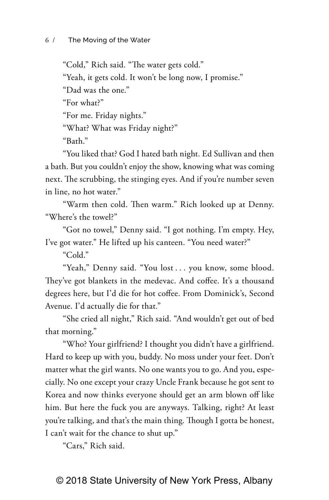"Cold," Rich said. "The water gets cold." "Yeah, it gets cold. It won't be long now, I promise." "Dad was the one." "For what?" "For me. Friday nights." "What? What was Friday night?" "Bath."

"You liked that? God I hated bath night. Ed Sullivan and then a bath. But you couldn't enjoy the show, knowing what was coming next. The scrubbing, the stinging eyes. And if you're number seven in line, no hot water."

"Warm then cold. Then warm." Rich looked up at Denny. "Where's the towel?"

"Got no towel," Denny said. "I got nothing. I'm empty. Hey, I've got water." He lifted up his canteen. "You need water?"

"Cold."

"Yeah," Denny said. "You lost . . . you know, some blood. They've got blankets in the medevac. And coffee. It's a thousand degrees here, but I'd die for hot coffee. From Dominick's, Second Avenue. I'd actually die for that."

"She cried all night," Rich said. "And wouldn't get out of bed that morning."

"Who? Your girlfriend? I thought you didn't have a girlfriend. Hard to keep up with you, buddy. No moss under your feet. Don't matter what the girl wants. No one wants you to go. And you, especially. No one except your crazy Uncle Frank because he got sent to Korea and now thinks everyone should get an arm blown off like him. But here the fuck you are anyways. Talking, right? At least you're talking, and that's the main thing. Though I gotta be honest, I can't wait for the chance to shut up."

"Cars," Rich said.